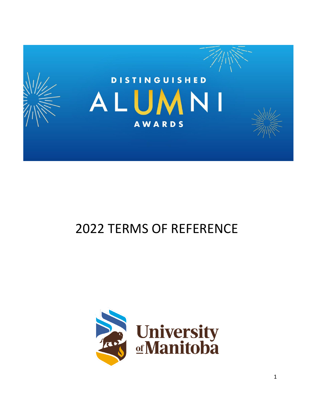

# TERMS OF REFERENCE

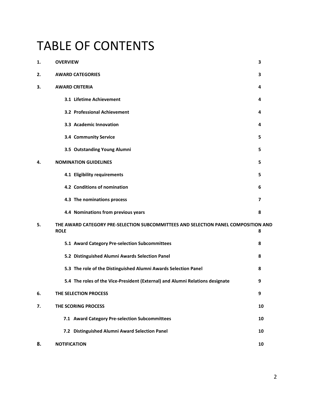# TABLE OF CONTENTS

| 1. | <b>OVERVIEW</b>                                                                                   | 3                       |
|----|---------------------------------------------------------------------------------------------------|-------------------------|
| 2. | <b>AWARD CATEGORIES</b>                                                                           | 3                       |
| 3. | <b>AWARD CRITERIA</b>                                                                             | 4                       |
|    | 3.1 Lifetime Achievement                                                                          | 4                       |
|    | 3.2 Professional Achievement                                                                      | 4                       |
|    | 3.3 Academic Innovation                                                                           | 4                       |
|    | 3.4 Community Service                                                                             | 5                       |
|    | 3.5 Outstanding Young Alumni                                                                      | 5                       |
| 4. | <b>NOMINATION GUIDELINES</b>                                                                      | 5                       |
|    | 4.1 Eligibility requirements                                                                      | 5                       |
|    | 4.2 Conditions of nomination                                                                      | 6                       |
|    | 4.3 The nominations process                                                                       | $\overline{\mathbf{z}}$ |
|    | 4.4 Nominations from previous years                                                               | 8                       |
| 5. | THE AWARD CATEGORY PRE-SELECTION SUBCOMMITTEES AND SELECTION PANEL COMPOSITION AND<br><b>ROLE</b> | 8                       |
|    | 5.1 Award Category Pre-selection Subcommittees                                                    | 8                       |
|    | 5.2 Distinguished Alumni Awards Selection Panel                                                   | 8                       |
|    | 5.3 The role of the Distinguished Alumni Awards Selection Panel                                   | 8                       |
|    | 5.4 The roles of the Vice-President (External) and Alumni Relations designate                     | 9                       |
| 6. | THE SELECTION PROCESS                                                                             | 9                       |
| 7. | THE SCORING PROCESS                                                                               | 10                      |
|    | 7.1 Award Category Pre-selection Subcommittees                                                    | 10                      |
|    | 7.2 Distinguished Alumni Award Selection Panel                                                    | 10                      |
| 8. | <b>NOTIFICATION</b>                                                                               | 10                      |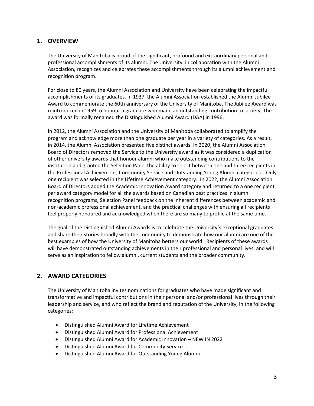# **1. OVERVIEW**

The University of Manitoba is proud of the significant, profound and extraordinary personal and professional accomplishments of its alumni. The University, in collaboration with the Alumni Association, recognizes and celebrates these accomplishments through its alumni achievement and recognition program.

For close to 80 years, the Alumni Association and University have been celebrating the impactful accomplishments of its graduates. In 1937, the Alumni Association established the Alumni Jubilee Award to commemorate the 60th anniversary of the University of Manitoba. The Jubilee Award was reintroduced in 1959 to honour a graduate who made an outstanding contribution to society. The award was formally renamed the Distinguished Alumni Award (DAA) in 1996.

In 2012, the Alumni Association and the University of Manitoba collaborated to amplify the program and acknowledge more than one graduate per year in a variety of categories. As a result, in 2014, the Alumni Association presented five distinct awards. In 2020, the Alumni Association Board of Directors removed the Service to the University award as it was considered a duplication of other university awards that honour alumni who make outstanding contributions to the institution and granted the Selection Panel the ability to select between one and three recipients in the Professional Achievement, Community Service and Outstanding Young Alumni categories. Only one recipient was selected in the Lifetime Achievement category. In 2022, the Alumni Association Board of Directors added the Academic Innovation Award category and returned to a one recipient per award category model for all the awards based on Canadian best practices in alumni recognition programs, Selection Panel feedback on the inherent differences between academic and non-academic professional achievement, and the practical challenges with ensuring all recipients feel properly honoured and acknowledged when there are so many to profile at the same time.

The goal of the Distinguished Alumni Awards is to celebrate the University's exceptional graduates and share their stories broadly with the community to demonstrate how our alumni are one of the best examples of how the University of Manitoba betters our world. Recipients of these awards will have demonstrated outstanding achievements in their professional and personal lives, and will serve as an inspiration to fellow alumni, current students and the broader community.

# **2. AWARD CATEGORIES**

The University of Manitoba invites nominations for graduates who have made significant and transformative and impactful contributions in their personal and/or professional lives through their leadership and service, and who reflect the brand and reputation of the University, in the following categories:

- Distinguished Alumni Award for Lifetime Achievement
- Distinguished Alumni Award for Professional Achievement
- Distinguished Alumni Award for Academic Innovation NEW IN 2022
- Distinguished Alumni Award for Community Service
- Distinguished Alumni Award for Outstanding Young Alumni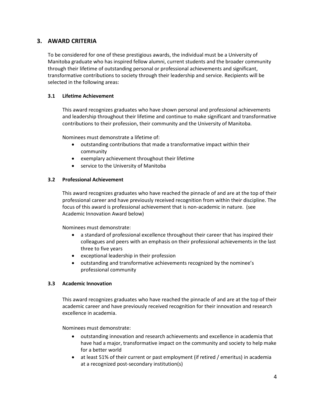# **3. AWARD CRITERIA**

To be considered for one of these prestigious awards, the individual must be a University of Manitoba graduate who has inspired fellow alumni, current students and the broader community through their lifetime of outstanding personal or professional achievements and significant, transformative contributions to society through their leadership and service. Recipients will be selected in the following areas:

#### **3.1 Lifetime Achievement**

This award recognizes graduates who have shown personal and professional achievements and leadership throughout their lifetime and continue to make significant and transformative contributions to their profession, their community and the University of Manitoba.

Nominees must demonstrate a lifetime of:

- outstanding contributions that made a transformative impact within their community
- exemplary achievement throughout their lifetime
- service to the University of Manitoba

#### **3.2 Professional Achievement**

This award recognizes graduates who have reached the pinnacle of and are at the top of their professional career and have previously received recognition from within their discipline. The focus of this award is professional achievement that is non-academic in nature. (see Academic Innovation Award below)

Nominees must demonstrate:

- a standard of professional excellence throughout their career that has inspired their colleagues and peers with an emphasis on their professional achievements in the last three to five years
- exceptional leadership in their profession
- outstanding and transformative achievements recognized by the nominee's professional community

#### **3.3 Academic Innovation**

This award recognizes graduates who have reached the pinnacle of and are at the top of their academic career and have previously received recognition for their innovation and research excellence in academia.

Nominees must demonstrate:

- outstanding innovation and research achievements and excellence in academia that have had a major, transformative impact on the community and society to help make for a better world
- at least 51% of their current or past employment (if retired / emeritus) in academia at a recognized post-secondary institution(s)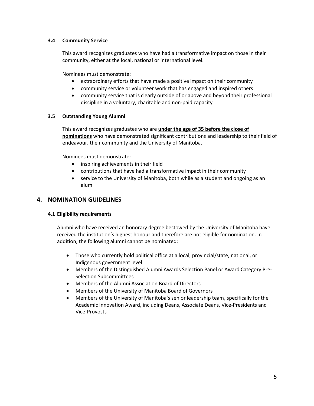#### **3.4 Community Service**

This award recognizes graduates who have had a transformative impact on those in their community, either at the local, national or international level.

Nominees must demonstrate:

- extraordinary efforts that have made a positive impact on their community
- community service or volunteer work that has engaged and inspired others
- community service that is clearly outside of or above and beyond their professional discipline in a voluntary, charitable and non-paid capacity

#### **3.5 Outstanding Young Alumni**

This award recognizes graduates who are **under the age of 35 before the close of nominations** who have demonstrated significant contributions and leadership to their field of endeavour, their community and the University of Manitoba.

Nominees must demonstrate:

- inspiring achievements in their field
- contributions that have had a transformative impact in their community
- service to the University of Manitoba, both while as a student and ongoing as an alum

### **4. NOMINATION GUIDELINES**

#### **4.1 Eligibility requirements**

Alumni who have received an honorary degree bestowed by the University of Manitoba have received the institution's highest honour and therefore are not eligible for nomination. In addition, the following alumni cannot be nominated:

- Those who currently hold political office at a local, provincial/state, national, or Indigenous government level
- Members of the Distinguished Alumni Awards Selection Panel or Award Category Pre-Selection Subcommittees
- Members of the Alumni Association Board of Directors
- Members of the University of Manitoba Board of Governors
- Members of the University of Manitoba's senior leadership team, specifically for the Academic Innovation Award, including Deans, Associate Deans, Vice-Presidents and Vice-Provosts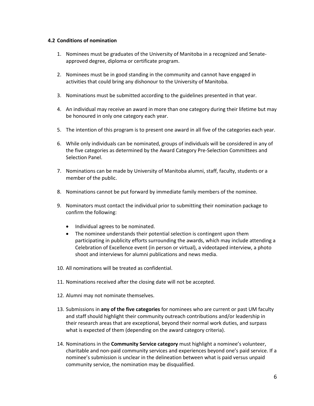#### **4.2 Conditions of nomination**

- 1. Nominees must be graduates of the University of Manitoba in a recognized and Senateapproved degree, diploma or certificate program.
- 2. Nominees must be in good standing in the community and cannot have engaged in activities that could bring any dishonour to the University of Manitoba.
- 3. Nominations must be submitted according to the guidelines presented in that year.
- 4. An individual may receive an award in more than one category during their lifetime but may be honoured in only one category each year.
- 5. The intention of this program is to present one award in all five of the categories each year.
- 6. While only individuals can be nominated, groups of individuals will be considered in any of the five categories as determined by the Award Category Pre-Selection Committees and Selection Panel.
- 7. Nominations can be made by University of Manitoba alumni, staff, faculty, students or a member of the public.
- 8. Nominations cannot be put forward by immediate family members of the nominee.
- 9. Nominators must contact the individual prior to submitting their nomination package to confirm the following:
	- Individual agrees to be nominated.
	- The nominee understands their potential selection is contingent upon them participating in publicity efforts surrounding the awards, which may include attending a Celebration of Excellence event (in person or virtual), a videotaped interview, a photo shoot and interviews for alumni publications and news media.
- 10. All nominations will be treated as confidential.
- 11. Nominations received after the closing date will not be accepted.
- 12. Alumni may not nominate themselves.
- 13. Submissions in **any of the five categories** for nominees who are current or past UM faculty and staff should highlight their community outreach contributions and/or leadership in their research areas that are exceptional, beyond their normal work duties, and surpass what is expected of them (depending on the award category criteria).
- 14. Nominations in the **Community Service category** must highlight a nominee's volunteer, charitable and non-paid community services and experiences beyond one's paid service. If a nominee's submission is unclear in the delineation between what is paid versus unpaid community service, the nomination may be disqualified.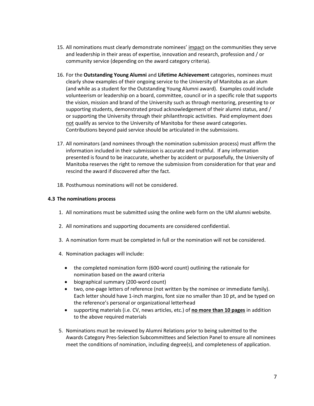- 15. All nominations must clearly demonstrate nominees' impact on the communities they serve and leadership in their areas of expertise, innovation and research, profession and / or community service (depending on the award category criteria).
- 16. For the **Outstanding Young Alumni** and **Lifetime Achievement** categories, nominees must clearly show examples of their ongoing service to the University of Manitoba as an alum (and while as a student for the Outstanding Young Alumni award). Examples could include volunteerism or leadership on a board, committee, council or in a specific role that supports the vision, mission and brand of the University such as through mentoring, presenting to or supporting students, demonstrated proud acknowledgement of their alumni status, and / or supporting the University through their philanthropic activities. Paid employment does not qualify as service to the University of Manitoba for these award categories. Contributions beyond paid service should be articulated in the submissions.
- 17. All nominators (and nominees through the nomination submission process) must affirm the information included in their submission is accurate and truthful. If any information presented is found to be inaccurate, whether by accident or purposefully, the University of Manitoba reserves the right to remove the submission from consideration for that year and rescind the award if discovered after the fact.
- 18. Posthumous nominations will not be considered.

#### **4.3 The nominations process**

- 1. All nominations must be submitted using the online web form on the UM alumni website.
- 2. All nominations and supporting documents are considered confidential.
- 3. A nomination form must be completed in full or the nomination will not be considered.
- 4. Nomination packages will include:
	- the completed nomination form (600-word count) outlining the rationale for nomination based on the award criteria
	- biographical summary (200-word count)
	- two, one-page letters of reference (not written by the nominee or immediate family). Each letter should have 1-inch margins, font size no smaller than 10 pt, and be typed on the reference's personal or organizational letterhead
	- supporting materials (i.e. CV, news articles, etc.) of **no more than 10 pages** in addition to the above required materials
- 5. Nominations must be reviewed by Alumni Relations prior to being submitted to the Awards Category Pres-Selection Subcommittees and Selection Panel to ensure all nominees meet the conditions of nomination, including degree(s), and completeness of application.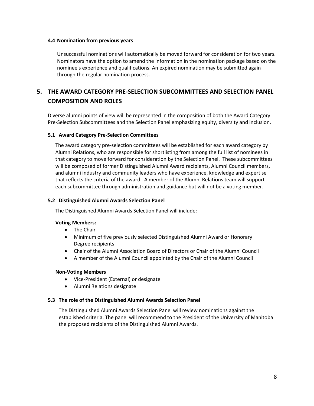#### **4.4 Nomination from previous years**

Unsuccessful nominations will automatically be moved forward for consideration for two years. Nominators have the option to amend the information in the nomination package based on the nominee's experience and qualifications. An expired nomination may be submitted again through the regular nomination process.

# **5. THE AWARD CATEGORY PRE-SELECTION SUBCOMMITTEES AND SELECTION PANEL COMPOSITION AND ROLES**

Diverse alumni points of view will be represented in the composition of both the Award Category Pre-Selection Subcommittees and the Selection Panel emphasizing equity, diversity and inclusion.

#### **5.1 Award Category Pre-Selection Committees**

The award category pre-selection committees will be established for each award category by Alumni Relations, who are responsible for shortlisting from among the full list of nominees in that category to move forward for consideration by the Selection Panel. These subcommittees will be composed of former Distinguished Alumni Award recipients, Alumni Council members, and alumni industry and community leaders who have experience, knowledge and expertise that reflects the criteria of the award. A member of the Alumni Relations team will support each subcommittee through administration and guidance but will not be a voting member.

#### **5.2 Distinguished Alumni Awards Selection Panel**

The Distinguished Alumni Awards Selection Panel will include:

#### **Voting Members:**

- The Chair
- Minimum of five previously selected Distinguished Alumni Award or Honorary Degree recipients
- Chair of the Alumni Association Board of Directors or Chair of the Alumni Council
- A member of the Alumni Council appointed by the Chair of the Alumni Council

#### **Non-Voting Members**

- Vice-President (External) or designate
- Alumni Relations designate

#### **5.3 The role of the Distinguished Alumni Awards Selection Panel**

The Distinguished Alumni Awards Selection Panel will review nominations against the established criteria. The panel will recommend to the President of the University of Manitoba the proposed recipients of the Distinguished Alumni Awards.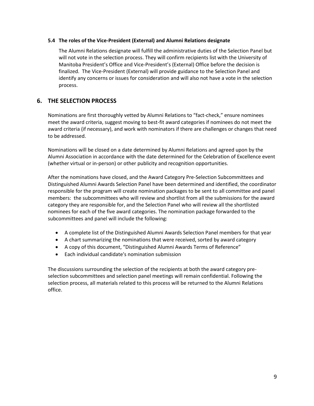#### **5.4 The roles of the Vice-President (External) and Alumni Relations designate**

The Alumni Relations designate will fulfill the administrative duties of the Selection Panel but will not vote in the selection process. They will confirm recipients list with the University of Manitoba President's Office and Vice-President's (External) Office before the decision is finalized. The Vice-President (External) will provide guidance to the Selection Panel and identify any concerns or issues for consideration and will also not have a vote in the selection process.

# **6. THE SELECTION PROCESS**

Nominations are first thoroughly vetted by Alumni Relations to "fact-check," ensure nominees meet the award criteria, suggest moving to best-fit award categories if nominees do not meet the award criteria (if necessary), and work with nominators if there are challenges or changes that need to be addressed.

Nominations will be closed on a date determined by Alumni Relations and agreed upon by the Alumni Association in accordance with the date determined for the Celebration of Excellence event (whether virtual or in-person) or other publicity and recognition opportunities.

After the nominations have closed, and the Award Category Pre-Selection Subcommittees and Distinguished Alumni Awards Selection Panel have been determined and identified, the coordinator responsible for the program will create nomination packages to be sent to all committee and panel members: the subcommittees who will review and shortlist from all the submissions for the award category they are responsible for, and the Selection Panel who will review all the shortlisted nominees for each of the five award categories. The nomination package forwarded to the subcommittees and panel will include the following:

- A complete list of the Distinguished Alumni Awards Selection Panel members for that year
- A chart summarizing the nominations that were received, sorted by award category
- A copy of this document, "Distinguished Alumni Awards Terms of Reference"
- Each individual candidate's nomination submission

The discussions surrounding the selection of the recipients at both the award category preselection subcommittees and selection panel meetings will remain confidential. Following the selection process, all materials related to this process will be returned to the Alumni Relations office.